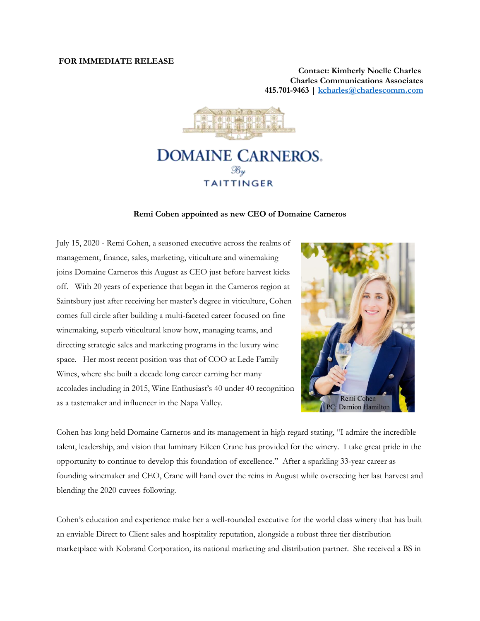## **FOR IMMEDIATE RELEASE**

**Contact: Kimberly Noelle Charles [Charles Communications Associates](http://www.charlescomm.com/) 415.701-9463 | [kcharles@charlescomm.com](mailto:kcharles@charlescomm.com)**



## **DOMAINE CARNEROS. TAITTINGER**

## **Remi Cohen appointed as new CEO of Domaine Carneros**

July 15, 2020 - Remi Cohen, a seasoned executive across the realms of management, finance, sales, marketing, viticulture and winemaking joins Domaine Carneros this August as CEO just before harvest kicks off. With 20 years of experience that began in the Carneros region at Saintsbury just after receiving her master's degree in viticulture, Cohen comes full circle after building a multi-faceted career focused on fine winemaking, superb viticultural know how, managing teams, and directing strategic sales and marketing programs in the luxury wine space. Her most recent position was that of COO at Lede Family Wines, where she built a decade long career earning her many accolades including in 2015, Wine Enthusiast's 40 under 40 recognition as a tastemaker and influencer in the Napa Valley.



Cohen has long held Domaine Carneros and its management in high regard stating, "I admire the incredible talent, leadership, and vision that luminary Eileen Crane has provided for the winery. I take great pride in the opportunity to continue to develop this foundation of excellence." After a sparkling 33-year career as founding winemaker and CEO, Crane will hand over the reins in August while overseeing her last harvest and blending the 2020 cuvees following.

Cohen's education and experience make her a well-rounded executive for the world class winery that has built an enviable Direct to Client sales and hospitality reputation, alongside a robust three tier distribution marketplace with Kobrand Corporation, its national marketing and distribution partner. She received a BS in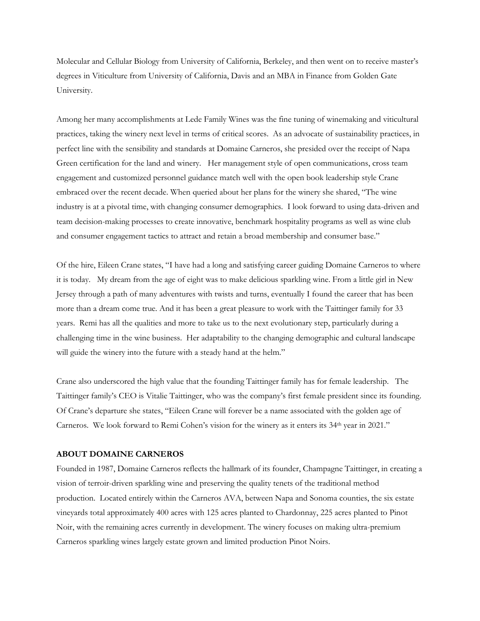Molecular and Cellular Biology from University of California, Berkeley, and then went on to receive master's degrees in Viticulture from University of California, Davis and an MBA in Finance from Golden Gate University.

Among her many accomplishments at Lede Family Wines was the fine tuning of winemaking and viticultural practices, taking the winery next level in terms of critical scores. As an advocate of sustainability practices, in perfect line with the sensibility and standards at Domaine Carneros, she presided over the receipt of Napa Green certification for the land and winery. Her management style of open communications, cross team engagement and customized personnel guidance match well with the open book leadership style Crane embraced over the recent decade. When queried about her plans for the winery she shared, "The wine industry is at a pivotal time, with changing consumer demographics. I look forward to using data-driven and team decision-making processes to create innovative, benchmark hospitality programs as well as wine club and consumer engagement tactics to attract and retain a broad membership and consumer base."

Of the hire, Eileen Crane states, "I have had a long and satisfying career guiding Domaine Carneros to where it is today. My dream from the age of eight was to make delicious sparkling wine. From a little girl in New Jersey through a path of many adventures with twists and turns, eventually I found the career that has been more than a dream come true. And it has been a great pleasure to work with the Taittinger family for 33 years. Remi has all the qualities and more to take us to the next evolutionary step, particularly during a challenging time in the wine business. Her adaptability to the changing demographic and cultural landscape will guide the winery into the future with a steady hand at the helm."

Crane also underscored the high value that the founding Taittinger family has for female leadership. The Taittinger family's CEO is Vitalie Taittinger, who was the company's first female president since its founding. Of Crane's departure she states, "Eileen Crane will forever be a name associated with the golden age of Carneros. We look forward to Remi Cohen's vision for the winery as it enters its 34<sup>th</sup> year in 2021."

## **ABOUT DOMAINE CARNEROS**

Founded in 1987, Domaine Carneros reflects the hallmark of its founder, Champagne Taittinger, in creating a vision of terroir-driven sparkling wine and preserving the quality tenets of the traditional method production. Located entirely within the Carneros AVA, between Napa and Sonoma counties, the six estate vineyards total approximately 400 acres with 125 acres planted to Chardonnay, 225 acres planted to Pinot Noir, with the remaining acres currently in development. The winery focuses on making ultra-premium Carneros sparkling wines largely estate grown and limited production Pinot Noirs.